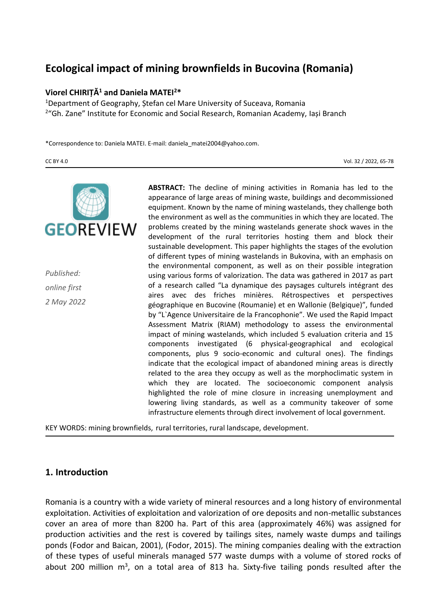# **Ecological impact of mining brownfields in Bucovina (Romania)**

#### **Viorel CHIRIȚĂ<sup>1</sup> and Daniela MATEI<sup>2</sup>\***

<sup>1</sup>Department of Geography, Ștefan cel Mare University of Suceava, Romania <sup>2</sup>"Gh. Zane" Institute for Economic and Social Research, Romanian Academy, Iași Branch

\*Correspondence to: Daniela MATEI. E-mail: daniela\_matei2004@yahoo.com.

CC BY 4.0 Vol. 32 / 2022, 65-78



*Published: online first 2 May 2022* **ABSTRACT:** The decline of mining activities in Romania has led to the appearance of large areas of mining waste, buildings and decommissioned equipment. Known by the name of mining wastelands, they challenge both the environment as well as the communities in which they are located. The problems created by the mining wastelands generate shock waves in the development of the rural territories hosting them and block their sustainable development. This paper highlights the stages of the evolution of different types of mining wastelands in Bukovina, with an emphasis on the environmental component, as well as on their possible integration using various forms of valorization. The data was gathered in 2017 as part of a research called "La dynamique des paysages culturels intégrant des aires avec des friches minières. Rétrospectives et perspectives géographique en Bucovine (Roumanie) et en Wallonie (Belgique)", funded by "L`Agence Universitaire de la Francophonie". We used the Rapid Impact Assessment Matrix (RIAM) methodology to assess the environmental impact of mining wastelands, which included 5 evaluation criteria and 15 components investigated (6 physical-geographical and ecological components, plus 9 socio-economic and cultural ones). The findings indicate that the ecological impact of abandoned mining areas is directly related to the area they occupy as well as the morphoclimatic system in which they are located. The socioeconomic component analysis highlighted the role of mine closure in increasing unemployment and lowering living standards, as well as a community takeover of some infrastructure elements through direct involvement of local government.

KEY WORDS: mining brownfields, rural territories, rural landscape, development.

### **1. Introduction**

Romania is a country with a wide variety of mineral resources and a long history of environmental exploitation. Activities of exploitation and valorization of ore deposits and non-metallic substances cover an area of more than 8200 ha. Part of this area (approximately 46%) was assigned for production activities and the rest is covered by tailings sites, namely waste dumps and tailings ponds (Fodor and Baican, 2001), (Fodor, 2015). The mining companies dealing with the extraction of these types of useful minerals managed 577 waste dumps with a volume of stored rocks of about 200 million  $m^3$ , on a total area of 813 ha. Sixty-five tailing ponds resulted after the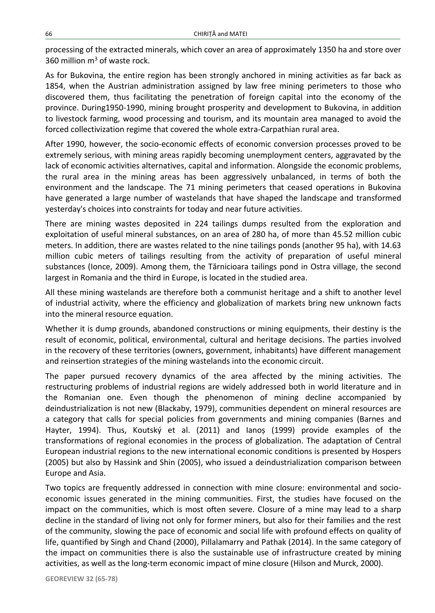processing of the extracted minerals, which cover an area of approximately 1350 ha and store over 360 million  $m<sup>3</sup>$  of waste rock.

As for Bukovina, the entire region has been strongly anchored in mining activities as far back as 1854, when the Austrian administration assigned by law free mining perimeters to those who discovered them, thus facilitating the penetration of foreign capital into the economy of the province. During1950-1990, mining brought prosperity and development to Bukovina, in addition to livestock farming, wood processing and tourism, and its mountain area managed to avoid the forced collectivization regime that covered the whole extra-Carpathian rural area.

After 1990, however, the socio-economic effects of economic conversion processes proved to be extremely serious, with mining areas rapidly becoming unemployment centers, aggravated by the lack of economic activities alternatives, capital and information. Alongside the economic problems, the rural area in the mining areas has been aggressively unbalanced, in terms of both the environment and the landscape. The 71 mining perimeters that ceased operations in Bukovina have generated a large number of wastelands that have shaped the landscape and transformed yesterday's choices into constraints for today and near future activities.

There are mining wastes deposited in 224 tailings dumps resulted from the exploration and exploitation of useful mineral substances, on an area of 280 ha, of more than 45.52 million cubic meters. In addition, there are wastes related to the nine tailings ponds (another 95 ha), with 14.63 million cubic meters of tailings resulting from the activity of preparation of useful mineral substances (Ionce, 2009). Among them, the Tărnicioara tailings pond in Ostra village, the second largest in Romania and the third in Europe, is located in the studied area.

All these mining wastelands are therefore both a communist heritage and a shift to another level of industrial activity, where the efficiency and globalization of markets bring new unknown facts into the mineral resource equation.

Whether it is dump grounds, abandoned constructions or mining equipments, their destiny is the result of economic, political, environmental, cultural and heritage decisions. The parties involved in the recovery of these territories (owners, government, inhabitants) have different management and reinsertion strategies of the mining wastelands into the economic circuit.

The paper pursued recovery dynamics of the area affected by the mining activities. The restructuring problems of industrial regions are widely addressed both in world literature and in the Romanian one. Even though the phenomenon of mining decline accompanied by deindustrialization is not new (Blackaby, 1979), communities dependent on mineral resources are a category that calls for special policies from governments and mining companies (Barnes and Hayter, 1994). Thus, Koutský et al. (2011) and Ianoș (1999) provide examples of the transformations of regional economies in the process of globalization. The adaptation of Central European industrial regions to the new international economic conditions is presented by Hospers (2005) but also by Hassink and Shin (2005), who issued a deindustrialization comparison between Europe and Asia.

Two topics are frequently addressed in connection with mine closure: environmental and socioeconomic issues generated in the mining communities. First, the studies have focused on the impact on the communities, which is most often severe. Closure of a mine may lead to a sharp decline in the standard of living not only for former miners, but also for their families and the rest of the community, slowing the pace of economic and social life with profound effects on quality of life, quantified by Singh and Chand (2000), Pillalamarry and Pathak (2014). In the same category of the impact on communities there is also the sustainable use of infrastructure created by mining activities, as well as the long-term economic impact of mine closure (Hilson and Murck, 2000).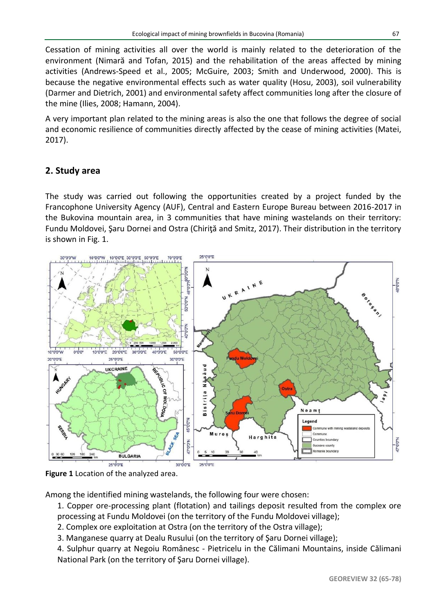Cessation of mining activities all over the world is mainly related to the deterioration of the environment (Nimară and Tofan, 2015) and the rehabilitation of the areas affected by mining activities (Andrews-Speed et al., 2005; McGuire, 2003; Smith and Underwood, 2000). This is because the negative environmental effects such as water quality (Hosu, 2003), soil vulnerability (Darmer and Dietrich, 2001) and environmental safety affect communities long after the closure of the mine (Ilies, 2008; Hamann, 2004).

A very important plan related to the mining areas is also the one that follows the degree of social and economic resilience of communities directly affected by the cease of mining activities (Matei, 2017).

# **2. Study area**

The study was carried out following the opportunities created by a project funded by the Francophone University Agency (AUF), Central and Eastern Europe Bureau between 2016-2017 in the Bukovina mountain area, in 3 communities that have mining wastelands on their territory: Fundu Moldovei, Şaru Dornei and Ostra (Chiriţă and Smitz, 2017). Their distribution in the territory is shown in Fig. 1.



**Figure 1** Location of the analyzed area.

Among the identified mining wastelands, the following four were chosen:

1. Copper ore-processing plant (flotation) and tailings deposit resulted from the complex ore processing at Fundu Moldovei (on the territory of the Fundu Moldovei village);

- 2. Complex ore exploitation at Ostra (on the territory of the Ostra village);
- 3. Manganese quarry at Dealu Rusului (on the territory of Şaru Dornei village);

4. Sulphur quarry at Negoiu Românesc - Pietricelu in the Călimani Mountains, inside Călimani National Park (on the territory of Şaru Dornei village).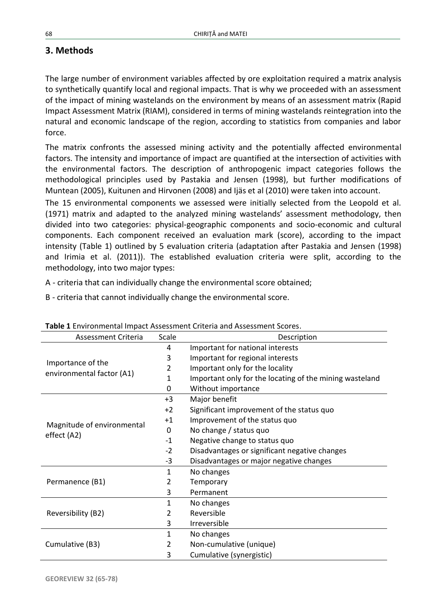## **3. Methods**

The large number of environment variables affected by ore exploitation required a matrix analysis to synthetically quantify local and regional impacts. That is why we proceeded with an assessment of the impact of mining wastelands on the environment by means of an assessment matrix (Rapid Impact Assessment Matrix (RIAM), considered in terms of mining wastelands reintegration into the natural and economic landscape of the region, according to statistics from companies and labor force.

The matrix confronts the assessed mining activity and the potentially affected environmental factors. The intensity and importance of impact are quantified at the intersection of activities with the environmental factors. The description of anthropogenic impact categories follows the methodological principles used by Pastakia and Jensen (1998), but further modifications of Muntean (2005), Kuitunen and Hirvonen (2008) and Ijäs et al (2010) were taken into account.

The 15 environmental components we assessed were initially selected from the Leopold et al. (1971) matrix and adapted to the analyzed mining wastelands' assessment methodology, then divided into two categories: physical-geographic components and socio-economic and cultural components. Each component received an evaluation mark (score), according to the impact intensity (Table 1) outlined by 5 evaluation criteria (adaptation after Pastakia and Jensen (1998) and Irimia et al. (2011)). The established evaluation criteria were split, according to the methodology, into two major types:

A - criteria that can individually change the environmental score obtained;

B - criteria that cannot individually change the environmental score.

| Assessment Criteria                            | Scale | <b>Table 1</b> Life in United Report Assessment Criteria and Assessment Scores.<br>Description |  |  |  |  |  |
|------------------------------------------------|-------|------------------------------------------------------------------------------------------------|--|--|--|--|--|
|                                                | 4     | Important for national interests                                                               |  |  |  |  |  |
|                                                | 3     | Important for regional interests                                                               |  |  |  |  |  |
| Importance of the<br>environmental factor (A1) | 2     | Important only for the locality                                                                |  |  |  |  |  |
|                                                | 1     | Important only for the locating of the mining wasteland                                        |  |  |  |  |  |
|                                                | 0     | Without importance                                                                             |  |  |  |  |  |
|                                                | $+3$  | Major benefit                                                                                  |  |  |  |  |  |
|                                                | $+2$  | Significant improvement of the status quo                                                      |  |  |  |  |  |
| Magnitude of environmental                     | $+1$  | Improvement of the status quo                                                                  |  |  |  |  |  |
| effect (A2)                                    | 0     | No change / status quo                                                                         |  |  |  |  |  |
|                                                | $-1$  | Negative change to status quo                                                                  |  |  |  |  |  |
|                                                | $-2$  | Disadvantages or significant negative changes                                                  |  |  |  |  |  |
|                                                | -3    | Disadvantages or major negative changes                                                        |  |  |  |  |  |
|                                                | 1     | No changes                                                                                     |  |  |  |  |  |
| Permanence (B1)                                | 2     | Temporary                                                                                      |  |  |  |  |  |
|                                                | 3     | Permanent                                                                                      |  |  |  |  |  |
| Reversibility (B2)                             | 1     | No changes                                                                                     |  |  |  |  |  |
|                                                | 2     | Reversible                                                                                     |  |  |  |  |  |
|                                                | 3     | <b>Irreversible</b>                                                                            |  |  |  |  |  |
|                                                | 1     | No changes                                                                                     |  |  |  |  |  |
| Cumulative (B3)                                | 2     | Non-cumulative (unique)                                                                        |  |  |  |  |  |
|                                                | 3     | Cumulative (synergistic)                                                                       |  |  |  |  |  |

| Table 1 Environmental Impact Assessment Criteria and Assessment Scores. |  |
|-------------------------------------------------------------------------|--|
|-------------------------------------------------------------------------|--|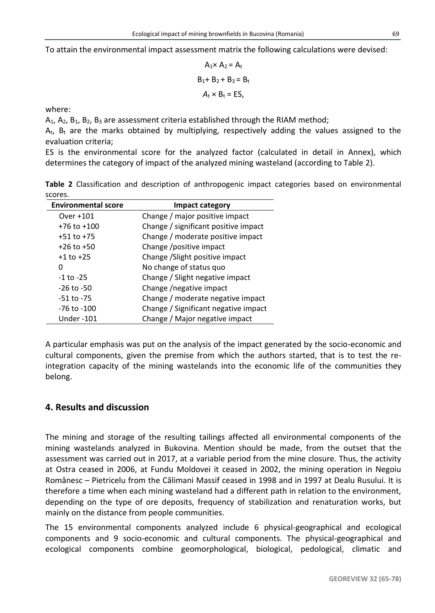To attain the environmental impact assessment matrix the following calculations were devised:

$$
A_1 \times A_2 = A_t
$$
  
B<sub>1</sub>+ B<sub>2</sub> + B<sub>3</sub> = B<sub>t</sub>  
A<sub>t</sub> × B<sub>t</sub> = ES,

where:

 $A_1$ ,  $A_2$ ,  $B_1$ ,  $B_2$ ,  $B_3$  are assessment criteria established through the RIAM method;

 $A_t$ ,  $B_t$  are the marks obtained by multiplying, respectively adding the values assigned to the evaluation criteria;

ES is the environmental score for the analyzed factor (calculated in detail in Annex), which determines the category of impact of the analyzed mining wasteland (according to Table 2).

**Table 2** Classification and description of anthropogenic impact categories based on environmental scores.

| <b>Environmental score</b> | Impact category                      |
|----------------------------|--------------------------------------|
| Over +101                  | Change / major positive impact       |
| $+76$ to $+100$            | Change / significant positive impact |
| $+51$ to $+75$             | Change / moderate positive impact    |
| $+26$ to $+50$             | Change / positive impact             |
| $+1$ to $+25$              | Change / Slight positive impact      |
| 0                          | No change of status quo              |
| $-1$ to $-25$              | Change / Slight negative impact      |
| $-26$ to $-50$             | Change /negative impact              |
| -51 to -75                 | Change / moderate negative impact    |
| -76 to -100                | Change / Significant negative impact |
| <b>Under-101</b>           | Change / Major negative impact       |

A particular emphasis was put on the analysis of the impact generated by the socio-economic and cultural components, given the premise from which the authors started, that is to test the reintegration capacity of the mining wastelands into the economic life of the communities they belong.

### **4. Results and discussion**

The mining and storage of the resulting tailings affected all environmental components of the mining wastelands analyzed in Bukovina. Mention should be made, from the outset that the assessment was carried out in 2017, at a variable period from the mine closure. Thus, the activity at Ostra ceased in 2006, at Fundu Moldovei it ceased in 2002, the mining operation in Negoiu Românesc – Pietricelu from the Călimani Massif ceased in 1998 and in 1997 at Dealu Rusului. It is therefore a time when each mining wasteland had a different path in relation to the environment, depending on the type of ore deposits, frequency of stabilization and renaturation works, but mainly on the distance from people communities.

The 15 environmental components analyzed include 6 physical-geographical and ecological components and 9 socio-economic and cultural components. The physical-geographical and ecological components combine geomorphological, biological, pedological, climatic and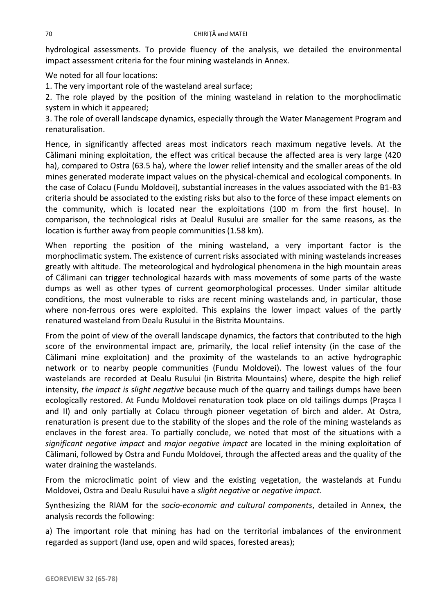hydrological assessments. To provide fluency of the analysis, we detailed the environmental impact assessment criteria for the four mining wastelands in Annex.

We noted for all four locations:

1. The very important role of the wasteland areal surface;

2. The role played by the position of the mining wasteland in relation to the morphoclimatic system in which it appeared;

3. The role of overall landscape dynamics, especially through the Water Management Program and renaturalisation.

Hence, in significantly affected areas most indicators reach maximum negative levels. At the Călimani mining exploitation, the effect was critical because the affected area is very large (420 ha), compared to Ostra (63.5 ha), where the lower relief intensity and the smaller areas of the old mines generated moderate impact values on the physical-chemical and ecological components. In the case of Colacu (Fundu Moldovei), substantial increases in the values associated with the B1-B3 criteria should be associated to the existing risks but also to the force of these impact elements on the community, which is located near the exploitations (100 m from the first house). In comparison, the technological risks at Dealul Rusului are smaller for the same reasons, as the location is further away from people communities (1.58 km).

When reporting the position of the mining wasteland, a very important factor is the morphoclimatic system. The existence of current risks associated with mining wastelands increases greatly with altitude. The meteorological and hydrological phenomena in the high mountain areas of Călimani can trigger technological hazards with mass movements of some parts of the waste dumps as well as other types of current geomorphological processes. Under similar altitude conditions, the most vulnerable to risks are recent mining wastelands and, in particular, those where non-ferrous ores were exploited. This explains the lower impact values of the partly renatured wasteland from Dealu Rusului in the Bistrita Mountains.

From the point of view of the overall landscape dynamics, the factors that contributed to the high score of the environmental impact are, primarily, the local relief intensity (in the case of the Călimani mine exploitation) and the proximity of the wastelands to an active hydrographic network or to nearby people communities (Fundu Moldovei). The lowest values of the four wastelands are recorded at Dealu Rusului (in Bistrita Mountains) where, despite the high relief intensity, *the impact is slight negative* because much of the quarry and tailings dumps have been ecologically restored. At Fundu Moldovei renaturation took place on old tailings dumps (Praşca I and II) and only partially at Colacu through pioneer vegetation of birch and alder. At Ostra, renaturation is present due to the stability of the slopes and the role of the mining wastelands as enclaves in the forest area. To partially conclude, we noted that most of the situations with a *significant negative impact* and *major negative impact* are located in the mining exploitation of Călimani, followed by Ostra and Fundu Moldovei, through the affected areas and the quality of the water draining the wastelands.

From the microclimatic point of view and the existing vegetation, the wastelands at Fundu Moldovei, Ostra and Dealu Rusului have a *slight negative* or *negative impact.*

Synthesizing the RIAM for the *socio-economic and cultural components*, detailed in Annex, the analysis records the following:

a) The important role that mining has had on the territorial imbalances of the environment regarded as support (land use, open and wild spaces, forested areas);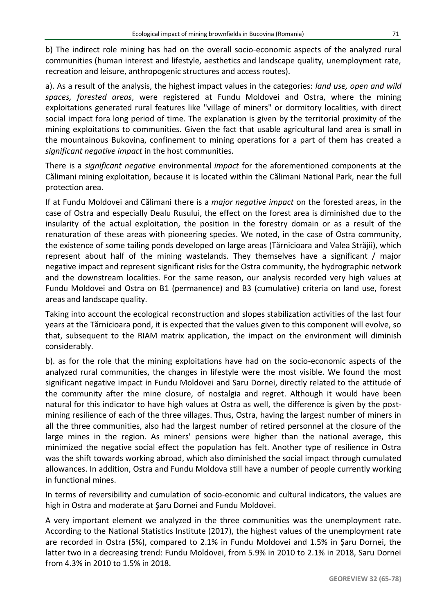b) The indirect role mining has had on the overall socio-economic aspects of the analyzed rural communities (human interest and lifestyle, aesthetics and landscape quality, unemployment rate, recreation and leisure, anthropogenic structures and access routes).

a). As a result of the analysis, the highest impact values in the categories: *land use, open and wild spaces, forested areas*, were registered at Fundu Moldovei and Ostra, where the mining exploitations generated rural features like "village of miners" or dormitory localities, with direct social impact fora long period of time. The explanation is given by the territorial proximity of the mining exploitations to communities. Given the fact that usable agricultural land area is small in the mountainous Bukovina, confinement to mining operations for a part of them has created a *significant negative impact* in the host communities.

There is a *significant negative* environmental *impact* for the aforementioned components at the Călimani mining exploitation, because it is located within the Călimani National Park, near the full protection area.

If at Fundu Moldovei and Călimani there is a *major negative impact* on the forested areas, in the case of Ostra and especially Dealu Rusului, the effect on the forest area is diminished due to the insularity of the actual exploitation, the position in the forestry domain or as a result of the renaturation of these areas with pioneering species. We noted, in the case of Ostra community, the existence of some tailing ponds developed on large areas (Tărnicioara and Valea Străjii), which represent about half of the mining wastelands. They themselves have a significant / major negative impact and represent significant risks for the Ostra community, the hydrographic network and the downstream localities. For the same reason, our analysis recorded very high values at Fundu Moldovei and Ostra on B1 (permanence) and B3 (cumulative) criteria on land use, forest areas and landscape quality.

Taking into account the ecological reconstruction and slopes stabilization activities of the last four years at the Tărnicioara pond, it is expected that the values given to this component will evolve, so that, subsequent to the RIAM matrix application, the impact on the environment will diminish considerably.

b). as for the role that the mining exploitations have had on the socio-economic aspects of the analyzed rural communities, the changes in lifestyle were the most visible. We found the most significant negative impact in Fundu Moldovei and Saru Dornei, directly related to the attitude of the community after the mine closure, of nostalgia and regret. Although it would have been natural for this indicator to have high values at Ostra as well, the difference is given by the postmining resilience of each of the three villages. Thus, Ostra, having the largest number of miners in all the three communities, also had the largest number of retired personnel at the closure of the large mines in the region. As miners' pensions were higher than the national average, this minimized the negative social effect the population has felt. Another type of resilience in Ostra was the shift towards working abroad, which also diminished the social impact through cumulated allowances. In addition, Ostra and Fundu Moldova still have a number of people currently working in functional mines.

In terms of reversibility and cumulation of socio-economic and cultural indicators, the values are high in Ostra and moderate at Şaru Dornei and Fundu Moldovei.

A very important element we analyzed in the three communities was the unemployment rate. According to the National Statistics Institute (2017), the highest values of the unemployment rate are recorded in Ostra (5%), compared to 2.1% in Fundu Moldovei and 1.5% in Şaru Dornei, the latter two in a decreasing trend: Fundu Moldovei, from 5.9% in 2010 to 2.1% in 2018, Saru Dornei from 4.3% in 2010 to 1.5% in 2018.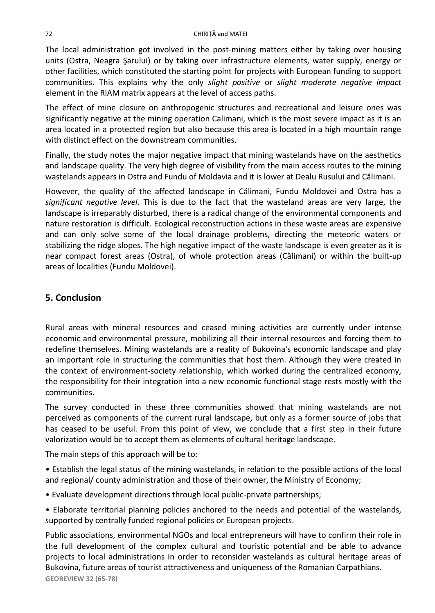The local administration got involved in the post-mining matters either by taking over housing units (Ostra, Neagra Şarului) or by taking over infrastructure elements, water supply, energy or other facilities, which constituted the starting point for projects with European funding to support communities. This explains why the only *slight positive* or *slight moderate negative impact* element in the RIAM matrix appears at the level of access paths.

The effect of mine closure on anthropogenic structures and recreational and leisure ones was significantly negative at the mining operation Calimani, which is the most severe impact as it is an area located in a protected region but also because this area is located in a high mountain range with distinct effect on the downstream communities.

Finally, the study notes the major negative impact that mining wastelands have on the aesthetics and landscape quality. The very high degree of visibility from the main access routes to the mining wastelands appears in Ostra and Fundu of Moldavia and it is lower at Dealu Rusului and Călimani.

However, the quality of the affected landscape in Călimani, Fundu Moldovei and Ostra has a *significant negative level*. This is due to the fact that the wasteland areas are very large, the landscape is irreparably disturbed, there is a radical change of the environmental components and nature restoration is difficult. Ecological reconstruction actions in these waste areas are expensive and can only solve some of the local drainage problems, directing the meteoric waters or stabilizing the ridge slopes. The high negative impact of the waste landscape is even greater as it is near compact forest areas (Ostra), of whole protection areas (Călimani) or within the built-up areas of localities (Fundu Moldovei).

### **5. Conclusion**

Rural areas with mineral resources and ceased mining activities are currently under intense economic and environmental pressure, mobilizing all their internal resources and forcing them to redefine themselves. Mining wastelands are a reality of Bukovina's economic landscape and play an important role in structuring the communities that host them. Although they were created in the context of environment-society relationship, which worked during the centralized economy, the responsibility for their integration into a new economic functional stage rests mostly with the communities.

The survey conducted in these three communities showed that mining wastelands are not perceived as components of the current rural landscape, but only as a former source of jobs that has ceased to be useful. From this point of view, we conclude that a first step in their future valorization would be to accept them as elements of cultural heritage landscape.

The main steps of this approach will be to:

• Establish the legal status of the mining wastelands, in relation to the possible actions of the local and regional/ county administration and those of their owner, the Ministry of Economy;

- Evaluate development directions through local public-private partnerships;
- Elaborate territorial planning policies anchored to the needs and potential of the wastelands, supported by centrally funded regional policies or European projects.

**GEOREVIEW 32 (65-78)** Public associations, environmental NGOs and local entrepreneurs will have to confirm their role in the full development of the complex cultural and touristic potential and be able to advance projects to local administrations in order to reconsider wastelands as cultural heritage areas of Bukovina, future areas of tourist attractiveness and uniqueness of the Romanian Carpathians.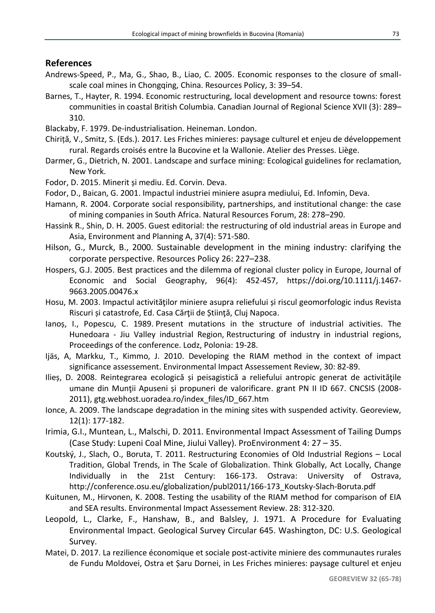#### **References**

- Andrews-Speed, P., Ma, G., Shao, B., Liao, C. 2005. Economic responses to the closure of smallscale coal mines in Chongqing, China. Resources Policy, 3: 39–54.
- Barnes, T., Hayter, R. 1994. Economic restructuring, local development and resource towns: forest communities in coastal British Columbia. Canadian Journal of Regional Science XVII (3): 289– 310.
- Blackaby, F. 1979. De-industrialisation. Heineman. London.
- Chiriță, V., Smitz, S. (Eds.). 2017. Les Friches minieres: paysage culturel et enjeu de développement rural. Regards croisés entre la Bucovine et la Wallonie. Atelier des Presses. Liège.
- Darmer, G., Dietrich, N. 2001. Landscape and surface mining: Ecological guidelines for reclamation, New York.
- Fodor, D. 2015. Minerit și mediu. Ed. Corvin. Deva.
- Fodor, D., Baican, G. 2001. Impactul industriei miniere asupra mediului, Ed. Infomin, Deva.
- Hamann, R. 2004. Corporate social responsibility, partnerships, and institutional change: the case of mining companies in South Africa. Natural Resources Forum, 28: 278–290.
- Hassink R., Shin, D. H. 2005. Guest editorial: the restructuring of old industrial areas in Europe and Asia, Environment and Planning A, 37(4): 571-580.
- Hilson, G., Murck, B., 2000. Sustainable development in the mining industry: clarifying the corporate perspective. Resources Policy 26: 227–238.
- Hospers, G.J. 2005. Best practices and the dilemma of regional cluster policy in Europe, Journal of Economic and Social Geography, 96(4): 452-457, https://doi.org/10.1111/j.1467- 9663.2005.00476.x
- Hosu, M. 2003. Impactul activităţilor miniere asupra reliefului și riscul geomorfologic indus Revista Riscuri și catastrofe, Ed. Casa Cărţii de Știinţă, Cluj Napoca.
- Ianoș, I., Popescu, C. 1989. Present mutations in the structure of industrial activities. The Hunedoara - Jiu Valley industrial Region, Restructuring of industry in industrial regions, Proceedings of the conference. Lodz, Polonia: 19-28.
- Ijäs, A, Markku, T., Kimmo, J. 2010. Developing the RIAM method in the context of impact significance assessement. Environmental Impact Assessement Review, 30: 82-89.
- Ilieș, D. 2008. Reintegrarea ecologică și peisagistică a reliefului antropic generat de activităţile umane din Munții Apuseni și propuneri de valorificare. grant PN II ID 667. CNCSIS (2008-2011), gtg.webhost.uoradea.ro/index\_files/ID\_667.htm
- Ionce, A. 2009. The landscape degradation in the mining sites with suspended activity. Georeview, 12(1): 177-182.
- Irimia, G.I., Muntean, L., Malschi, D. 2011. Environmental Impact Assessment of Tailing Dumps (Case Study: Lupeni Coal Mine, Jiului Valley). ProEnvironment 4: 27 – 35.
- Koutský, J., Slach, O., Boruta, T. 2011. Restructuring Economies of Old Industrial Regions Local Tradition, Global Trends, in The Scale of Globalization. Think Globally, Act Locally, Change Individually in the 21st Century: 166-173. Ostrava: University of Ostrava, http://conference.osu.eu/globalization/publ2011/166-173\_Koutsky-Slach-Boruta.pdf
- Kuitunen, M., Hirvonen, K. 2008. Testing the usability of the RIAM method for comparison of EIA and SEA results. Environmental Impact Assessement Review. 28: 312-320.
- Leopold, L., Clarke, F., Hanshaw, B., and Balsley, J. 1971. A Procedure for Evaluating Environmental Impact. Geological Survey Circular 645. Washington, DC: U.S. Geological Survey.
- Matei, D. 2017. La rezilience économique et sociale post-activite miniere des communautes rurales de Fundu Moldovei, Ostra et Șaru Dornei, in Les Friches minieres: paysage culturel et enjeu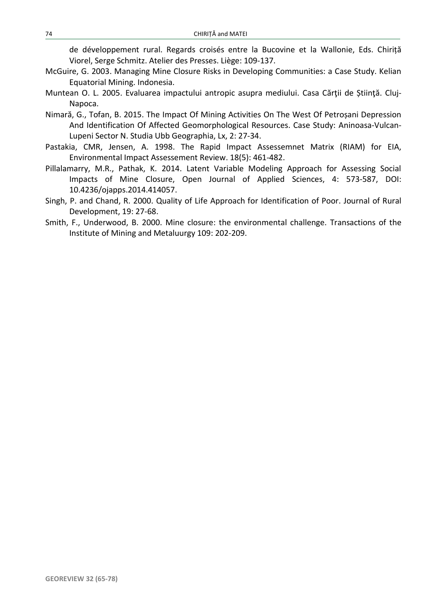de développement rural. Regards croisés entre la Bucovine et la Wallonie, Eds. Chiriță Viorel, Serge Schmitz. Atelier des Presses. Liège: 109-137.

- McGuire, G. 2003. Managing Mine Closure Risks in Developing Communities: a Case Study. Kelian Equatorial Mining. Indonesia.
- Muntean O. L. 2005. Evaluarea impactului antropic asupra mediului. Casa Cărții de Știință. Cluj-Napoca.
- Nimară, G., Tofan, B. 2015. The Impact Of Mining Activities On The West Of Petroșani Depression And Identification Of Affected Geomorphological Resources. Case Study: Aninoasa-Vulcan-Lupeni Sector N. Studia Ubb Geographia, Lx, 2: 27-34.
- Pastakia, CMR, Jensen, A. 1998. The Rapid Impact Assessemnet Matrix (RIAM) for EIA, Environmental Impact Assessement Review. 18(5): 461-482.
- Pillalamarry, M.R., Pathak, K. 2014. Latent Variable Modeling Approach for Assessing Social Impacts of Mine Closure, Open Journal of Applied Sciences, 4: 573-587, DOI: 10.4236/ojapps.2014.414057.
- Singh, P. and Chand, R. 2000. Quality of Life Approach for Identification of Poor. Journal of Rural Development, 19: 27-68.
- Smith, F., Underwood, B. 2000. Mine closure: the environmental challenge. Transactions of the Institute of Mining and Metaluurgy 109: 202-209.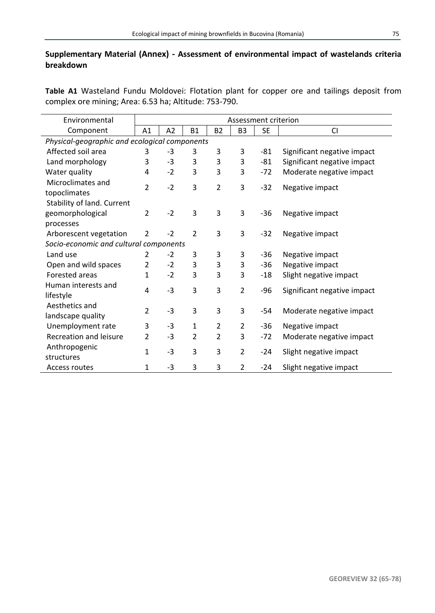### **Supplementary Material (Annex) - Assessment of environmental impact of wastelands criteria breakdown**

**Table A1** Wasteland Fundu Moldovei: Flotation plant for copper ore and tailings deposit from complex ore mining; Area: 6.53 ha; Altitude: 753-790.

| Environmental                                 | Assessment criterion |      |                |                |                |           |                             |  |  |  |  |
|-----------------------------------------------|----------------------|------|----------------|----------------|----------------|-----------|-----------------------------|--|--|--|--|
| Component                                     | A1                   | A2   | <b>B1</b>      | <b>B2</b>      | B <sub>3</sub> | <b>SE</b> | <b>CI</b>                   |  |  |  |  |
| Physical-geographic and ecological components |                      |      |                |                |                |           |                             |  |  |  |  |
| Affected soil area                            | 3                    | -3   | 3              | 3              | 3              | -81       | Significant negative impact |  |  |  |  |
| Land morphology                               | 3                    | $-3$ | 3              | 3              | 3              | -81       | Significant negative impact |  |  |  |  |
| Water quality                                 | 4                    | $-2$ | 3              | 3              | 3              | $-72$     | Moderate negative impact    |  |  |  |  |
| Microclimates and<br>topoclimates             | $\overline{2}$       | $-2$ | 3              | $\overline{2}$ | 3              | $-32$     | Negative impact             |  |  |  |  |
| Stability of land. Current                    |                      |      |                |                |                |           |                             |  |  |  |  |
| geomorphological                              | $\overline{2}$       | $-2$ | 3              | 3              | 3              | $-36$     | Negative impact             |  |  |  |  |
| processes                                     |                      |      |                |                |                |           |                             |  |  |  |  |
| Arborescent vegetation                        | $\overline{2}$       | $-2$ | 2              | 3              | 3              | $-32$     | Negative impact             |  |  |  |  |
| Socio-economic and cultural components        |                      |      |                |                |                |           |                             |  |  |  |  |
| Land use                                      | 2                    | $-2$ | 3              | 3              | 3              | -36       | Negative impact             |  |  |  |  |
| Open and wild spaces                          | 2                    | $-2$ | 3              | 3              | 3              | -36       | Negative impact             |  |  |  |  |
| Forested areas                                | 1                    | $-2$ | 3              | 3              | 3              | $-18$     | Slight negative impact      |  |  |  |  |
| Human interests and<br>lifestyle              | 4                    | $-3$ | 3              | 3              | $\overline{2}$ | $-96$     | Significant negative impact |  |  |  |  |
| Aesthetics and<br>landscape quality           | $\overline{2}$       | $-3$ | 3              | 3              | 3              | $-54$     | Moderate negative impact    |  |  |  |  |
| Unemployment rate                             | 3                    | $-3$ | 1              | $\overline{2}$ | 2              | -36       | Negative impact             |  |  |  |  |
| Recreation and leisure                        | 2                    | $-3$ | $\overline{2}$ | $\overline{2}$ | 3              | $-72$     | Moderate negative impact    |  |  |  |  |
| Anthropogenic<br>structures                   | $\mathbf{1}$         | $-3$ | 3              | 3              | $\overline{2}$ | $-24$     | Slight negative impact      |  |  |  |  |
| Access routes                                 | 1                    | $-3$ | 3              | 3              | $\overline{2}$ | $-24$     | Slight negative impact      |  |  |  |  |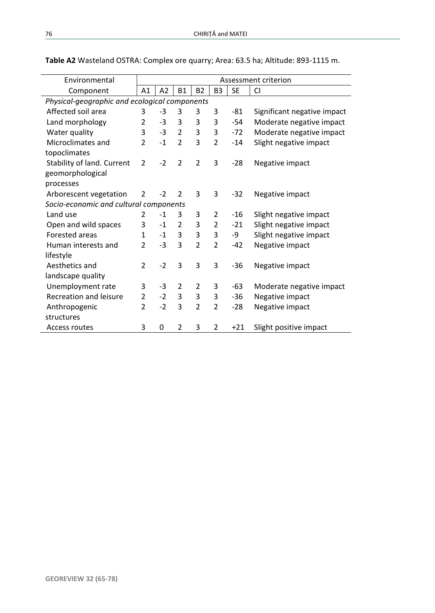| Environmental                                 | Assessment criterion |      |                |                |                |           |                             |  |  |
|-----------------------------------------------|----------------------|------|----------------|----------------|----------------|-----------|-----------------------------|--|--|
| Component                                     | A1                   | A2   | <b>B1</b>      | <b>B2</b>      | B <sub>3</sub> | <b>SE</b> | <b>CI</b>                   |  |  |
| Physical-geographic and ecological components |                      |      |                |                |                |           |                             |  |  |
| Affected soil area                            | 3                    | -3   | 3              | 3              | 3              | -81       | Significant negative impact |  |  |
| Land morphology                               | $\overline{2}$       | -3   | 3              | 3              | 3              | $-54$     | Moderate negative impact    |  |  |
| Water quality                                 | 3                    | $-3$ | 2              | 3              | 3              | $-72$     | Moderate negative impact    |  |  |
| Microclimates and                             | $\mathcal{P}$        | $-1$ | $\mathcal{P}$  | 3              | $\overline{2}$ | $-14$     | Slight negative impact      |  |  |
| topoclimates                                  |                      |      |                |                |                |           |                             |  |  |
| Stability of land. Current                    | $\overline{2}$       | $-2$ | $\overline{2}$ | $\overline{2}$ | 3              | $-28$     | Negative impact             |  |  |
| geomorphological                              |                      |      |                |                |                |           |                             |  |  |
| processes                                     |                      |      |                |                |                |           |                             |  |  |
| Arborescent vegetation                        | $\overline{2}$       | $-2$ | 2              | 3              | 3              | $-32$     | Negative impact             |  |  |
| Socio-economic and cultural components        |                      |      |                |                |                |           |                             |  |  |
| Land use                                      | 2                    | $-1$ | 3              | 3              | 2              | -16       | Slight negative impact      |  |  |
| Open and wild spaces                          | 3                    | $-1$ | 2              | 3              | 2              | $-21$     | Slight negative impact      |  |  |
| Forested areas                                | 1                    | $-1$ | 3              | 3              | 3              | -9        | Slight negative impact      |  |  |
| Human interests and                           | $\overline{2}$       | $-3$ | 3              | $\overline{2}$ | $\overline{2}$ | $-42$     | Negative impact             |  |  |
| lifestyle                                     |                      |      |                |                |                |           |                             |  |  |
| Aesthetics and                                | 2                    | $-2$ | 3              | 3              | 3              | -36       | Negative impact             |  |  |
| landscape quality                             |                      |      |                |                |                |           |                             |  |  |
| Unemployment rate                             | 3                    | -3   | 2              | 2              | 3              | -63       | Moderate negative impact    |  |  |
| Recreation and leisure                        | $\overline{2}$       | $-2$ | 3              | 3              | 3              | $-36$     | Negative impact             |  |  |
| Anthropogenic                                 | $\overline{2}$       | $-2$ | 3              | $\overline{2}$ | $\overline{2}$ | -28       | Negative impact             |  |  |
| structures                                    |                      |      |                |                |                |           |                             |  |  |
| Access routes                                 | 3                    | 0    | 2              | 3              | 2              | $+21$     | Slight positive impact      |  |  |

**Table A2** Wasteland OSTRA: Complex ore quarry; Area: 63.5 ha; Altitude: 893-1115 m.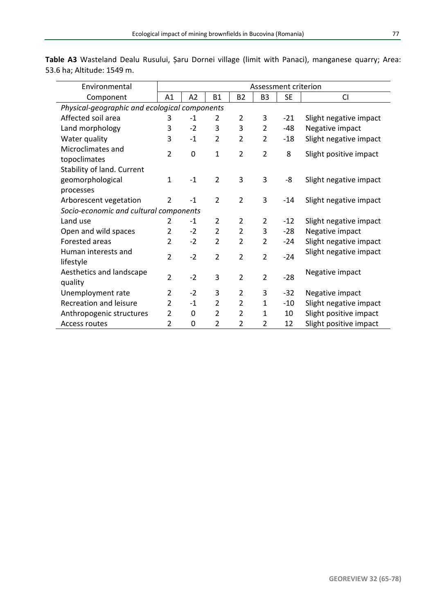| Environmental                                 | Assessment criterion |      |                |                |                |       |                        |  |  |  |
|-----------------------------------------------|----------------------|------|----------------|----------------|----------------|-------|------------------------|--|--|--|
| Component                                     | A1                   | A2   | <b>B1</b>      | <b>B2</b>      | B <sub>3</sub> | SE    | <b>CI</b>              |  |  |  |
| Physical-geographic and ecological components |                      |      |                |                |                |       |                        |  |  |  |
| Affected soil area                            | 3                    | $-1$ | 2              | 2              | 3              | $-21$ | Slight negative impact |  |  |  |
| Land morphology                               | 3                    | $-2$ | 3              | 3              | 2              | -48   | Negative impact        |  |  |  |
| Water quality                                 | 3                    | $-1$ | $\overline{2}$ | $\overline{2}$ | $\overline{2}$ | $-18$ | Slight negative impact |  |  |  |
| Microclimates and                             | $\overline{2}$       | 0    | 1              | $\overline{2}$ | $\overline{2}$ | 8     | Slight positive impact |  |  |  |
| topoclimates                                  |                      |      |                |                |                |       |                        |  |  |  |
| Stability of land. Current                    |                      |      |                |                |                |       |                        |  |  |  |
| geomorphological                              | $\mathbf{1}$         | $-1$ | $\overline{2}$ | 3              | 3              | -8    | Slight negative impact |  |  |  |
| processes                                     |                      |      |                |                |                |       |                        |  |  |  |
| Arborescent vegetation                        | $\overline{2}$       | $-1$ | $\overline{2}$ | $\overline{2}$ | 3              | $-14$ | Slight negative impact |  |  |  |
| Socio-economic and cultural components        |                      |      |                |                |                |       |                        |  |  |  |
| Land use                                      | 2                    | $-1$ | 2              | 2              | 2              | $-12$ | Slight negative impact |  |  |  |
| Open and wild spaces                          | 2                    | $-2$ | 2              | 2              | 3              | $-28$ | Negative impact        |  |  |  |
| Forested areas                                | $\mathfrak{p}$       | $-2$ | $\overline{2}$ | $\mathfrak{p}$ | 2              | $-24$ | Slight negative impact |  |  |  |
| Human interests and                           | $\overline{2}$       | $-2$ | $\overline{2}$ | $\overline{2}$ | $\overline{2}$ | $-24$ | Slight negative impact |  |  |  |
| lifestyle                                     |                      |      |                |                |                |       |                        |  |  |  |
| Aesthetics and landscape                      | $\overline{2}$       | $-2$ | 3              | $\overline{2}$ | $\overline{2}$ | $-28$ | Negative impact        |  |  |  |
| quality                                       |                      |      |                |                |                |       |                        |  |  |  |
| Unemployment rate                             | $\overline{2}$       | $-2$ | 3              | $\overline{2}$ | 3              | $-32$ | Negative impact        |  |  |  |
| Recreation and leisure                        | $\overline{2}$       | $-1$ | $\overline{2}$ | $\overline{2}$ | $\mathbf{1}$   | $-10$ | Slight negative impact |  |  |  |
| Anthropogenic structures                      | 2                    | 0    | 2              | $\overline{2}$ | $\mathbf{1}$   | 10    | Slight positive impact |  |  |  |
| Access routes                                 | $\overline{2}$       | 0    | 2              | $\overline{2}$ | 2              | 12    | Slight positive impact |  |  |  |

**Table A3** Wasteland Dealu Rusului, Șaru Dornei village (limit with Panaci), manganese quarry; Area: 53.6 ha; Altitude: 1549 m.